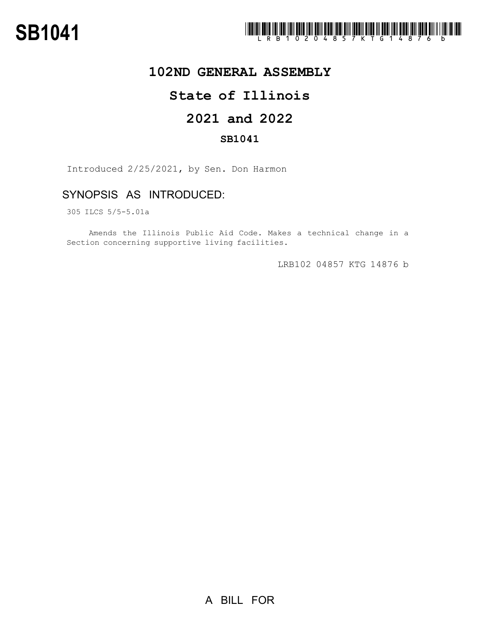

## **102ND GENERAL ASSEMBLY**

# **State of Illinois**

# **2021 and 2022**

### **SB1041**

Introduced 2/25/2021, by Sen. Don Harmon

## SYNOPSIS AS INTRODUCED:

305 ILCS 5/5-5.01a

Amends the Illinois Public Aid Code. Makes a technical change in a Section concerning supportive living facilities.

LRB102 04857 KTG 14876 b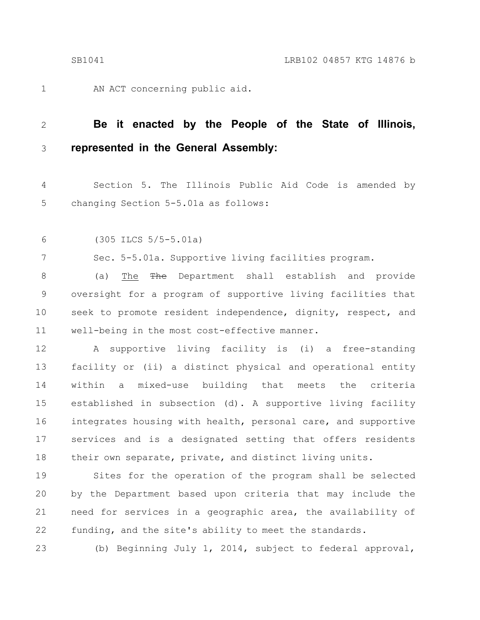AN ACT concerning public aid.

#### **Be it enacted by the People of the State of Illinois, represented in the General Assembly:** 2 3

Section 5. The Illinois Public Aid Code is amended by changing Section 5-5.01a as follows: 4 5

(305 ILCS 5/5-5.01a) 6

7

1

Sec. 5-5.01a. Supportive living facilities program.

(a) The The Department shall establish and provide oversight for a program of supportive living facilities that seek to promote resident independence, dignity, respect, and well-being in the most cost-effective manner. 8 9 10 11

A supportive living facility is (i) a free-standing facility or (ii) a distinct physical and operational entity within a mixed-use building that meets the criteria established in subsection (d). A supportive living facility integrates housing with health, personal care, and supportive services and is a designated setting that offers residents their own separate, private, and distinct living units. 12 13 14 15 16 17 18

Sites for the operation of the program shall be selected by the Department based upon criteria that may include the need for services in a geographic area, the availability of funding, and the site's ability to meet the standards. 19 20 21 22

23

(b) Beginning July 1, 2014, subject to federal approval,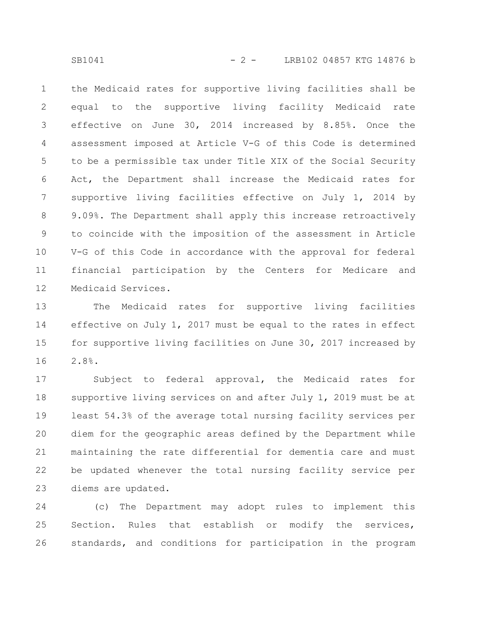the Medicaid rates for supportive living facilities shall be equal to the supportive living facility Medicaid rate effective on June 30, 2014 increased by 8.85%. Once the assessment imposed at Article V-G of this Code is determined to be a permissible tax under Title XIX of the Social Security Act, the Department shall increase the Medicaid rates for supportive living facilities effective on July 1, 2014 by 9.09%. The Department shall apply this increase retroactively to coincide with the imposition of the assessment in Article V-G of this Code in accordance with the approval for federal financial participation by the Centers for Medicare and Medicaid Services. 1 2 3 4 5 6 7 8 9 10 11 12

The Medicaid rates for supportive living facilities effective on July 1, 2017 must be equal to the rates in effect for supportive living facilities on June 30, 2017 increased by 2.8%. 13 14 15 16

Subject to federal approval, the Medicaid rates for supportive living services on and after July 1, 2019 must be at least 54.3% of the average total nursing facility services per diem for the geographic areas defined by the Department while maintaining the rate differential for dementia care and must be updated whenever the total nursing facility service per diems are updated. 17 18 19 20 21 22 23

(c) The Department may adopt rules to implement this Section. Rules that establish or modify the services, standards, and conditions for participation in the program 24 25 26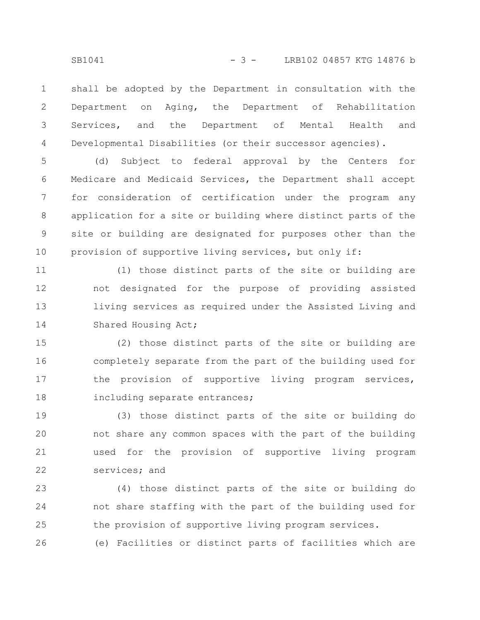shall be adopted by the Department in consultation with the Department on Aging, the Department of Rehabilitation Services, and the Department of Mental Health and Developmental Disabilities (or their successor agencies). 1 2 3 4

(d) Subject to federal approval by the Centers for Medicare and Medicaid Services, the Department shall accept for consideration of certification under the program any application for a site or building where distinct parts of the site or building are designated for purposes other than the provision of supportive living services, but only if: 5 6 7 8 9 10

(1) those distinct parts of the site or building are not designated for the purpose of providing assisted living services as required under the Assisted Living and Shared Housing Act; 11 12 13 14

(2) those distinct parts of the site or building are completely separate from the part of the building used for the provision of supportive living program services, including separate entrances; 15 16 17 18

(3) those distinct parts of the site or building do not share any common spaces with the part of the building used for the provision of supportive living program services; and 19 20 21 22

(4) those distinct parts of the site or building do not share staffing with the part of the building used for the provision of supportive living program services. 23 24 25

(e) Facilities or distinct parts of facilities which are 26